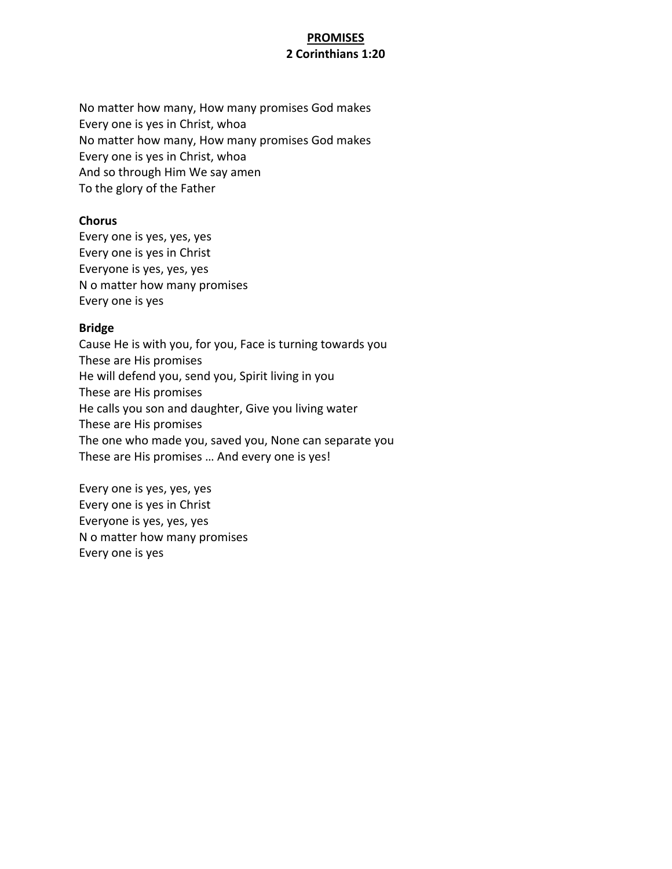# **PROMISES 2 Corinthians 1:20**

No matter how many, How many promises God makes Every one is yes in Christ, whoa No matter how many, How many promises God makes Every one is yes in Christ, whoa And so through Him We say amen To the glory of the Father

## **Chorus**

Every one is yes, yes, yes Every one is yes in Christ Everyone is yes, yes, yes N o matter how many promises Every one is yes

## **Bridge**

Cause He is with you, for you, Face is turning towards you These are His promises He will defend you, send you, Spirit living in you These are His promises He calls you son and daughter, Give you living water These are His promises The one who made you, saved you, None can separate you These are His promises … And every one is yes!

Every one is yes, yes, yes Every one is yes in Christ Everyone is yes, yes, yes N o matter how many promises Every one is yes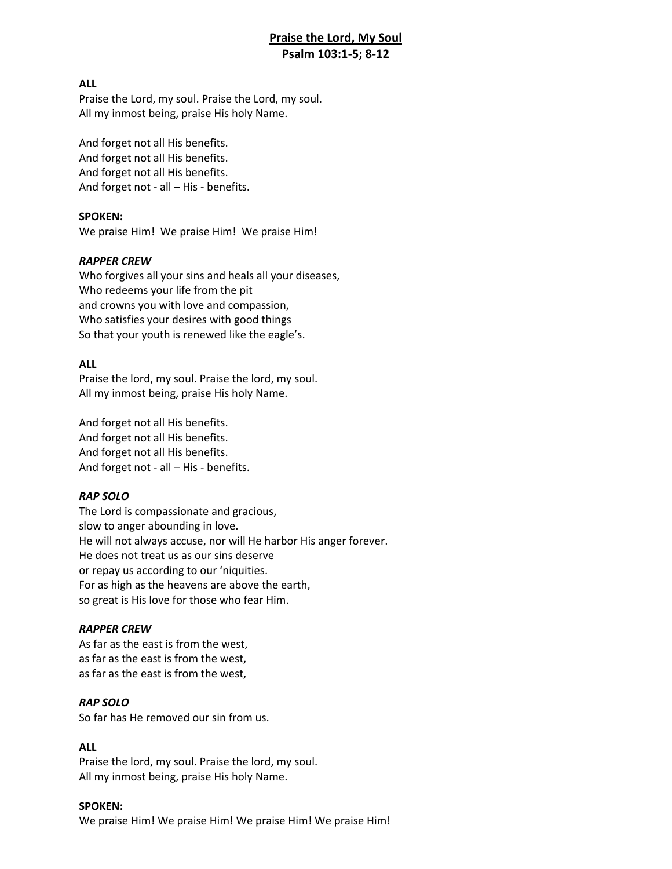# **Praise the Lord, My Soul Psalm 103:1-5; 8-12**

### **ALL**

Praise the Lord, my soul. Praise the Lord, my soul. All my inmost being, praise His holy Name.

And forget not all His benefits. And forget not all His benefits. And forget not all His benefits. And forget not - all – His - benefits.

### **SPOKEN:**

We praise Him! We praise Him! We praise Him!

### *RAPPER CREW*

Who forgives all your sins and heals all your diseases, Who redeems your life from the pit and crowns you with love and compassion, Who satisfies your desires with good things So that your youth is renewed like the eagle's.

### **ALL**

Praise the lord, my soul. Praise the lord, my soul. All my inmost being, praise His holy Name.

And forget not all His benefits. And forget not all His benefits. And forget not all His benefits. And forget not - all – His - benefits.

### *RAP SOLO*

The Lord is compassionate and gracious, slow to anger abounding in love. He will not always accuse, nor will He harbor His anger forever. He does not treat us as our sins deserve or repay us according to our 'niquities. For as high as the heavens are above the earth, so great is His love for those who fear Him.

#### *RAPPER CREW*

As far as the east is from the west, as far as the east is from the west, as far as the east is from the west,

## *RAP SOLO*

So far has He removed our sin from us.

### **ALL**

Praise the lord, my soul. Praise the lord, my soul. All my inmost being, praise His holy Name.

#### **SPOKEN:**

We praise Him! We praise Him! We praise Him! We praise Him!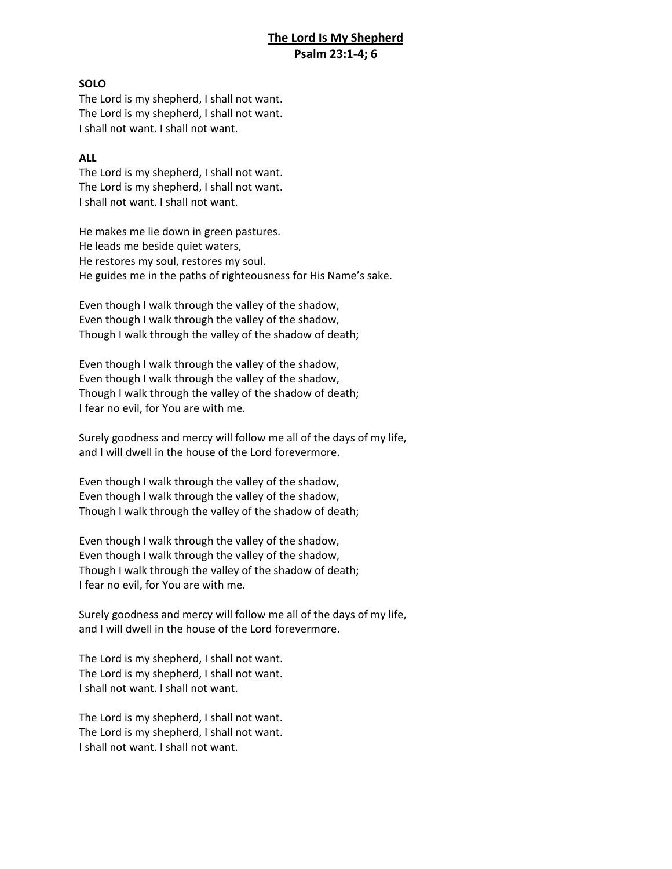# **The Lord Is My Shepherd Psalm 23:1-4; 6**

### **SOLO**

The Lord is my shepherd, I shall not want. The Lord is my shepherd, I shall not want. I shall not want. I shall not want.

### **ALL**

The Lord is my shepherd, I shall not want. The Lord is my shepherd, I shall not want. I shall not want. I shall not want.

He makes me lie down in green pastures. He leads me beside quiet waters, He restores my soul, restores my soul. He guides me in the paths of righteousness for His Name's sake.

Even though I walk through the valley of the shadow, Even though I walk through the valley of the shadow, Though I walk through the valley of the shadow of death;

Even though I walk through the valley of the shadow, Even though I walk through the valley of the shadow, Though I walk through the valley of the shadow of death; I fear no evil, for You are with me.

Surely goodness and mercy will follow me all of the days of my life, and I will dwell in the house of the Lord forevermore.

Even though I walk through the valley of the shadow, Even though I walk through the valley of the shadow, Though I walk through the valley of the shadow of death;

Even though I walk through the valley of the shadow, Even though I walk through the valley of the shadow, Though I walk through the valley of the shadow of death; I fear no evil, for You are with me.

Surely goodness and mercy will follow me all of the days of my life, and I will dwell in the house of the Lord forevermore.

The Lord is my shepherd, I shall not want. The Lord is my shepherd, I shall not want. I shall not want. I shall not want.

The Lord is my shepherd, I shall not want. The Lord is my shepherd, I shall not want. I shall not want. I shall not want.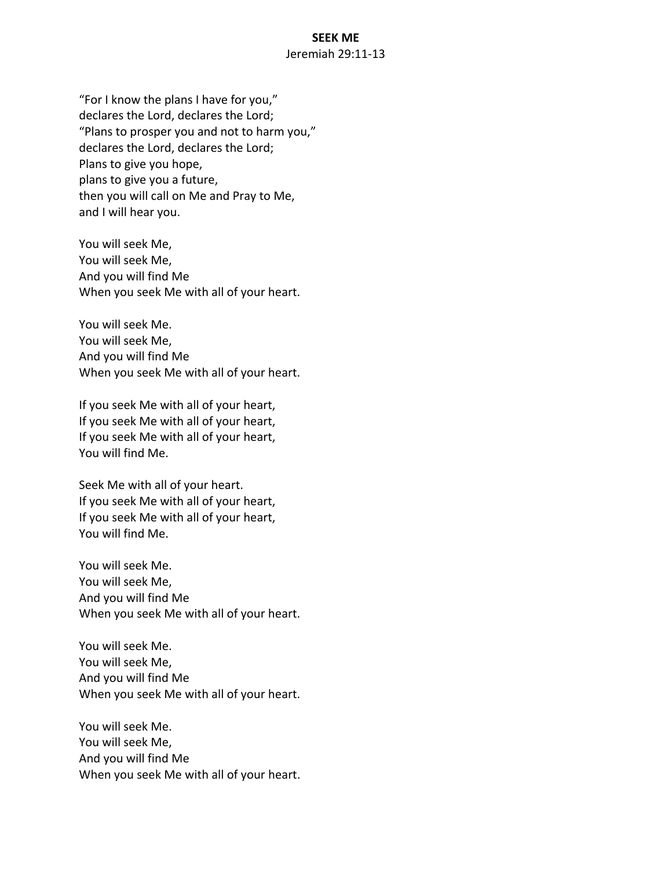## **SEEK ME** Jeremiah 29:11-13

"For I know the plans I have for you," declares the Lord, declares the Lord; "Plans to prosper you and not to harm you," declares the Lord, declares the Lord; Plans to give you hope, plans to give you a future, then you will call on Me and Pray to Me, and I will hear you.

You will seek Me, You will seek Me, And you will find Me When you seek Me with all of your heart.

You will seek Me. You will seek Me, And you will find Me When you seek Me with all of your heart.

If you seek Me with all of your heart, If you seek Me with all of your heart, If you seek Me with all of your heart, You will find Me.

Seek Me with all of your heart. If you seek Me with all of your heart, If you seek Me with all of your heart, You will find Me.

You will seek Me. You will seek Me, And you will find Me When you seek Me with all of your heart.

You will seek Me. You will seek Me, And you will find Me When you seek Me with all of your heart.

You will seek Me. You will seek Me, And you will find Me When you seek Me with all of your heart.